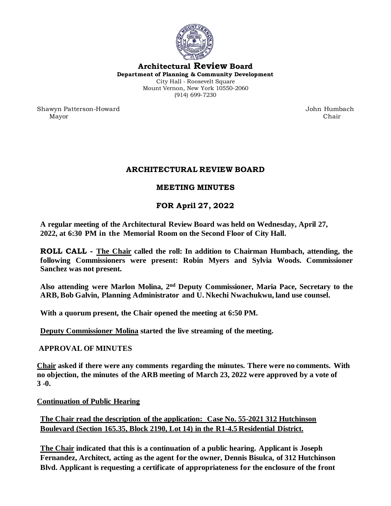

**Architectural Review Board Department of Planning & Community Development** City Hall - Roosevelt Square Mount Vernon, New York 10550-2060 (914) 699-7230

Shawyn Patterson-Howard John Humbach Mayor Chair

# **ARCHITECTURAL REVIEW BOARD**

## **MEETING MINUTES**

# **FOR April 27, 2022**

**A regular meeting of the Architectural Review Board was held on Wednesday, April 27, 2022, at 6:30 PM in the Memorial Room on the Second Floor of City Hall.** 

**ROLL CALL - The Chair called the roll: In addition to Chairman Humbach, attending, the following Commissioners were present: Robin Myers and Sylvia Woods. Commissioner Sanchez was not present.** 

**Also attending were Marlon Molina, 2 nd Deputy Commissioner, Maria Pace, Secretary to the ARB, Bob Galvin, Planning Administrator and U. Nkechi Nwachukwu, land use counsel.**

**With a quorum present, the Chair opened the meeting at 6:50 PM.** 

**Deputy Commissioner Molina started the live streaming of the meeting.**

### **APPROVAL OF MINUTES**

**Chair asked if there were any comments regarding the minutes. There were no comments. With no objection, the minutes of the ARB meeting of March 23, 2022 were approved by a vote of 3 -0.**

**Continuation of Public Hearing**

**The Chair read the description of the application: Case No. 55-2021 312 Hutchinson Boulevard (Section 165.35, Block 2190, Lot 14) in the R1-4.5 Residential District.** 

**The Chair indicated that this is a continuation of a public hearing. Applicant is Joseph Fernandez, Architect, acting as the agent for the owner, Dennis Bisulca, of 312 Hutchinson Blvd. Applicant is requesting a certificate of appropriateness for the enclosure of the front**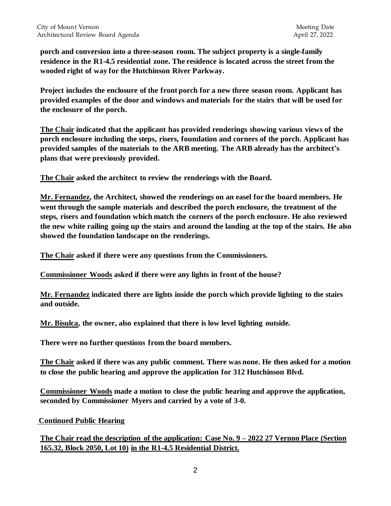**porch and conversion into a three-season room. The subject property is a single-family residence in the R1-4.5 residential zone. The residence is located across the street from the wooded right of way for the Hutchinson River Parkway.** 

**Project includes the enclosure of the front porch for a new three season room. Applicant has provided examples of the door and windows and materials for the stairs that will be used for the enclosure of the porch.** 

**The Chair indicated that the applicant has provided renderings showing various views of the porch enclosure including the steps, risers, foundation and corners of the porch. Applicant has provided samples of the materials to the ARB meeting. The ARB already has the architect's plans that were previously provided.** 

**The Chair asked the architect to review the renderings with the Board.**

**Mr. Fernandez, the Architect, showed the renderings on an easel for the board members. He went through the sample materials and described the porch enclosure, the treatment of the steps, risers and foundation which match the corners of the porch enclosure. He also reviewed the new white railing going up the stairs and around the landing at the top of the stairs. He also showed the foundation landscape on the renderings.** 

**The Chair asked if there were any questions from the Commissioners.**

**Commissioner Woods asked if there were any lights in front of the house?**

**Mr. Fernandez indicated there are lights inside the porch which provide lighting to the stairs and outside.** 

**Mr. Bisulca, the owner, also explained that there is low level lighting outside.** 

**There were no further questions from the board members.** 

**The Chair asked if there was any public comment. There was none. He then asked for a motion to close the public hearing and approve the application for 312 Hutchinson Blvd.** 

**Commissioner Woods made a motion to close the public hearing and approve the application, seconded by Commissioner Myers and carried by a vote of 3-0.** 

**Continued Public Hearing**

**The Chair read the description of the application: Case No. 9 – 2022 27 Vernon Place (Section 165.32, Block 2050, Lot 10) in the R1-4.5 Residential District.**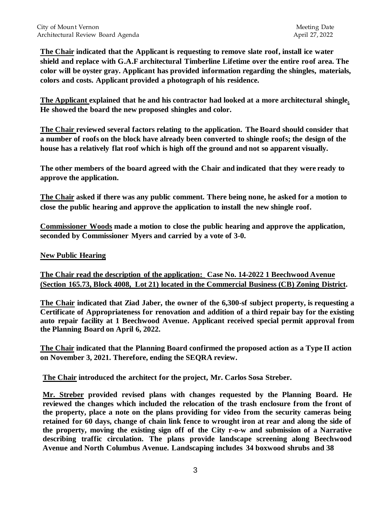**The Chair indicated that the Applicant is requesting to remove slate roof, install ice water shield and replace with G.A.F architectural Timberline Lifetime over the entire roof area. The color will be oyster gray. Applicant has provided information regarding the shingles, materials, colors and costs. Applicant provided a photograph of his residence.** 

**The Applicant explained that he and his contractor had looked at a more architectural shingle. He showed the board the new proposed shingles and color.** 

**The Chair reviewed several factors relating to the application. The Board should consider that a number of roofs on the block have already been converted to shingle roofs; the design of the house has a relatively flat roof which is high off the ground and not so apparent visually.**

**The other members of the board agreed with the Chair and indicated that they were ready to approve the application.** 

**The Chair asked if there was any public comment. There being none, he asked for a motion to close the public hearing and approve the application to install the new shingle roof.**

**Commissioner Woods made a motion to close the public hearing and approve the application, seconded by Commissioner Myers and carried by a vote of 3-0.** 

### **New Public Hearing**

**The Chair read the description of the application: Case No. 14-2022 1 Beechwood Avenue (Section 165.73, Block 4008, Lot 21) located in the Commercial Business (CB) Zoning District.**

**The Chair indicated that Ziad Jaber, the owner of the 6,300-sf subject property, is requesting a Certificate of Appropriateness for renovation and addition of a third repair bay for the existing auto repair facility at 1 Beechwood Avenue. Applicant received special permit approval from the Planning Board on April 6, 2022.** 

**The Chair indicated that the Planning Board confirmed the proposed action as a Type II action on November 3, 2021. Therefore, ending the SEQRA review.** 

**The Chair introduced the architect for the project, Mr. Carlos Sosa Streber.** 

**Mr. Streber provided revised plans with changes requested by the Planning Board. He reviewed the changes which included the relocation of the trash enclosure from the front of the property, place a note on the plans providing for video from the security cameras being retained for 60 days, change of chain link fence to wrought iron at rear and along the side of the property, moving the existing sign off of the City r-o-w and submission of a Narrative describing traffic circulation. The plans provide landscape screening along Beechwood Avenue and North Columbus Avenue. Landscaping includes 34 boxwood shrubs and 38**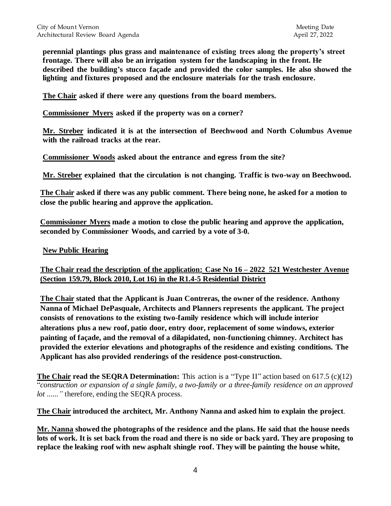**perennial plantings plus grass and maintenance of existing trees along the property's street frontage. There will also be an irrigation system for the landscaping in the front. He described the building's stucco façade and provided the color samples. He also showed the lighting and fixtures proposed and the enclosure materials for the trash enclosure.** 

**The Chair asked if there were any questions from the board members.**

**Commissioner Myers asked if the property was on a corner?**

**Mr. Streber indicated it is at the intersection of Beechwood and North Columbus Avenue with the railroad tracks at the rear.** 

**Commissioner Woods asked about the entrance and egress from the site?**

**Mr. Streber explained that the circulation is not changing. Traffic is two-way on Beechwood.** 

**The Chair asked if there was any public comment. There being none, he asked for a motion to close the public hearing and approve the application.** 

**Commissioner Myers made a motion to close the public hearing and approve the application, seconded by Commissioner Woods, and carried by a vote of 3-0.** 

#### **New Public Hearing**

### **The Chair read the description of the application: Case No 16 – 2022 521 Westchester Avenue (Section 159.79, Block 2010, Lot 16) in the R1.4-5 Residential District**

**The Chair stated that the Applicant is Juan Contreras, the owner of the residence. Anthony Nanna of Michael DePasquale, Architects and Planners represents the applicant. The project consists of renovations to the existing two-family residence which will include interior alterations plus a new roof, patio door, entry door, replacement of some windows, exterior painting of façade, and the removal of a dilapidated, non-functioning chimney. Architect has provided the exterior elevations and photographs of the residence and existing conditions. The Applicant has also provided renderings of the residence post-construction.** 

**The Chair read the SEQRA Determination:** This action is a "Type II" action based on 617.5 (c)(12) "*construction or expansion of a single family, a two-family or a three-family residence on an approved lot ......"* therefore, ending the SEQRA process.

**The Chair introduced the architect, Mr. Anthony Nanna and asked him to explain the project**.

**Mr. Nanna showed the photographs of the residence and the plans. He said that the house needs lots of work. It is set back from the road and there is no side or back yard. They are proposing to replace the leaking roof with new asphalt shingle roof. They will be painting the house white,**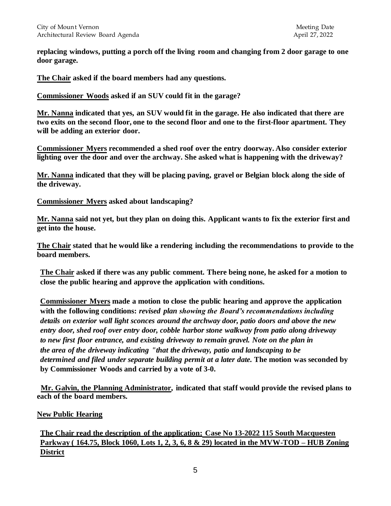**replacing windows, putting a porch off the living room and changing from 2 door garage to one door garage.** 

**The Chair asked if the board members had any questions.** 

**Commissioner Woods asked if an SUV could fit in the garage?**

**Mr. Nanna indicated that yes, an SUV would fit in the garage. He also indicated that there are two exits on the second floor, one to the second floor and one to the first-floor apartment. They will be adding an exterior door.** 

**Commissioner Myers recommended a shed roof over the entry doorway. Also consider exterior lighting over the door and over the archway. She asked what is happening with the driveway?**

**Mr. Nanna indicated that they will be placing paving, gravel or Belgian block along the side of the driveway.** 

**Commissioner Myers asked about landscaping?**

**Mr. Nanna said not yet, but they plan on doing this. Applicant wants to fix the exterior first and get into the house.**

**The Chair stated that he would like a rendering including the recommendations to provide to the board members.** 

**The Chair asked if there was any public comment. There being none, he asked for a motion to close the public hearing and approve the application with conditions.** 

**Commissioner Myers made a motion to close the public hearing and approve the application with the following conditions:** *revised plan showing the Board's recommendations including details on exterior wall light sconces around the archway door, patio doors and above the new entry door, shed roof over entry door, cobble harbor stone walkway from patio along driveway to new first floor entrance, and existing driveway to remain gravel. Note on the plan in the area of the driveway indicating "that the driveway, patio and landscaping to be determined and filed under separate building permit at a later date.* **The motion was seconded by by Commissioner Woods and carried by a vote of 3-0.** 

 **Mr. Galvin, the Planning Administrator, indicated that staff would provide the revised plans to each of the board members.**

### **New Public Hearing**

**The Chair read the description of the application: Case No 13-2022 115 South Macquesten Parkway ( 164.75, Block 1060, Lots 1, 2, 3, 6, 8 & 29) located in the MVW-TOD – HUB Zoning District**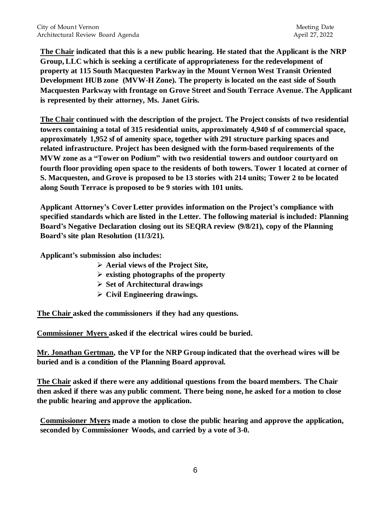**The Chair indicated that this is a new public hearing. He stated that the Applicant is the NRP Group, LLC which is seeking a certificate of appropriateness for the redevelopment of property at 115 South Macquesten Parkway in the Mount Vernon West Transit Oriented Development HUB zone (MVW-H Zone). The property is located on the east side of South Macquesten Parkway with frontage on Grove Street and South Terrace Avenue. The Applicant is represented by their attorney, Ms. Janet Giris.** 

**The Chair continued with the description of the project. The Project consists of two residential towers containing a total of 315 residential units, approximately 4,940 sf of commercial space, approximately 1,952 sf of amenity space, together with 291 structure parking spaces and related infrastructure. Project has been designed with the form-based requirements of the MVW zone as a "Tower on Podium" with two residential towers and outdoor courtyard on fourth floor providing open space to the residents of both towers. Tower 1 located at corner of S. Macquesten, and Grove is proposed to be 13 stories with 214 units; Tower 2 to be located along South Terrace is proposed to be 9 stories with 101 units.** 

**Applicant Attorney's Cover Letter provides information on the Project's compliance with specified standards which are listed in the Letter. The following material is included: Planning Board's Negative Declaration closing out its SEQRA review (9/8/21), copy of the Planning Board's site plan Resolution (11/3/21).** 

**Applicant's submission also includes:** 

- ➢ **Aerial views of the Project Site,**
- ➢ **existing photographs of the property**
- ➢ **Set of Architectural drawings**
- ➢ **Civil Engineering drawings.**

**The Chair asked the commissioners if they had any questions.**

**Commissioner Myers asked if the electrical wires could be buried.**

**Mr. Jonathan Gertman, the VP for the NRP Group indicated that the overhead wires will be buried and is a condition of the Planning Board approval.** 

**The Chair asked if there were any additional questions from the board members. The Chair then asked if there was any public comment. There being none, he asked for a motion to close the public hearing and approve the application.**

**Commissioner Myers made a motion to close the public hearing and approve the application, seconded by Commissioner Woods, and carried by a vote of 3-0.**